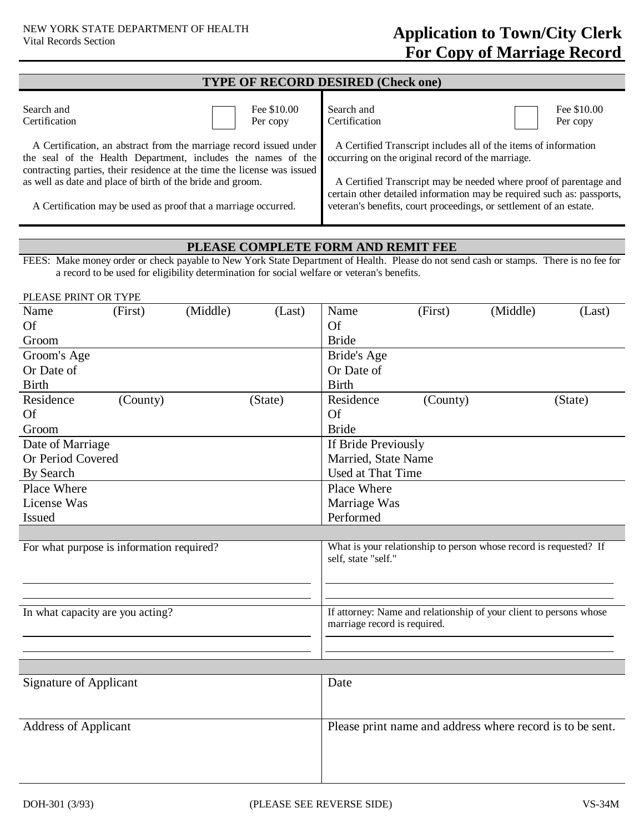| <b>TYPE OF RECORD DESIRED (Check one)</b>                                                                                                                                                                     |                         |                                                                                                                                                                                                                   |                         |  |  |  |  |  |
|---------------------------------------------------------------------------------------------------------------------------------------------------------------------------------------------------------------|-------------------------|-------------------------------------------------------------------------------------------------------------------------------------------------------------------------------------------------------------------|-------------------------|--|--|--|--|--|
| Search and<br>Certification                                                                                                                                                                                   | Fee \$10.00<br>Per copy | Search and<br>Certification                                                                                                                                                                                       | Fee \$10.00<br>Per copy |  |  |  |  |  |
| A Certification, an abstract from the marriage record issued under<br>the seal of the Health Department, includes the names of the<br>contracting parties, their residence at the time the license was issued |                         | A Certified Transcript includes all of the items of information<br>occurring on the original record of the marriage.                                                                                              |                         |  |  |  |  |  |
| as well as date and place of birth of the bride and groom.<br>A Certification may be used as proof that a marriage occurred.                                                                                  |                         | A Certified Transcript may be needed where proof of parentage and<br>certain other detailed information may be required such as: passports,<br>veteran's benefits, court proceedings, or settlement of an estate. |                         |  |  |  |  |  |

## **PLEASE COMPLETE FORM AND REMIT FEE**

FEES: Make money order or check payable to New York State Department of Health. Please do not send cash or stamps. There is no fee for a record to be used for eligibility determination for social welfare or veteran's benefits.

| PLEASE PRINT OR TYPE                      |          |          |                                                                                                    |                     |                                                           |          |         |
|-------------------------------------------|----------|----------|----------------------------------------------------------------------------------------------------|---------------------|-----------------------------------------------------------|----------|---------|
| Name                                      | (First)  | (Middle) | (Last)                                                                                             | Name                | (First)                                                   | (Middle) | (Last)  |
| Of                                        |          |          |                                                                                                    | Of                  |                                                           |          |         |
| Groom                                     |          |          |                                                                                                    | <b>Bride</b>        |                                                           |          |         |
| Groom's Age                               |          |          |                                                                                                    | Bride's Age         |                                                           |          |         |
| Or Date of                                |          |          |                                                                                                    | Or Date of          |                                                           |          |         |
| <b>Birth</b>                              |          |          |                                                                                                    | <b>Birth</b>        |                                                           |          |         |
| Residence                                 | (County) |          | (State)                                                                                            | Residence           | (County)                                                  |          | (State) |
| <b>Of</b>                                 |          |          |                                                                                                    | Of                  |                                                           |          |         |
| Groom                                     |          |          |                                                                                                    | <b>Bride</b>        |                                                           |          |         |
| Date of Marriage                          |          |          |                                                                                                    | If Bride Previously |                                                           |          |         |
| Or Period Covered                         |          |          |                                                                                                    | Married, State Name |                                                           |          |         |
| By Search                                 |          |          |                                                                                                    | Used at That Time   |                                                           |          |         |
| Place Where                               |          |          |                                                                                                    | Place Where         |                                                           |          |         |
| License Was                               |          |          |                                                                                                    | Marriage Was        |                                                           |          |         |
| Issued                                    |          |          |                                                                                                    | Performed           |                                                           |          |         |
|                                           |          |          |                                                                                                    |                     |                                                           |          |         |
| For what purpose is information required? |          |          | What is your relationship to person whose record is requested? If<br>self, state "self."           |                     |                                                           |          |         |
|                                           |          |          |                                                                                                    |                     |                                                           |          |         |
|                                           |          |          |                                                                                                    |                     |                                                           |          |         |
|                                           |          |          |                                                                                                    |                     |                                                           |          |         |
| In what capacity are you acting?          |          |          | If attorney: Name and relationship of your client to persons whose<br>marriage record is required. |                     |                                                           |          |         |
|                                           |          |          |                                                                                                    |                     |                                                           |          |         |
|                                           |          |          |                                                                                                    |                     |                                                           |          |         |
|                                           |          |          |                                                                                                    |                     |                                                           |          |         |
| <b>Signature of Applicant</b>             |          |          |                                                                                                    | Date                |                                                           |          |         |
|                                           |          |          |                                                                                                    |                     |                                                           |          |         |
|                                           |          |          |                                                                                                    |                     |                                                           |          |         |
| <b>Address of Applicant</b>               |          |          |                                                                                                    |                     | Please print name and address where record is to be sent. |          |         |
|                                           |          |          |                                                                                                    |                     |                                                           |          |         |
|                                           |          |          |                                                                                                    |                     |                                                           |          |         |
|                                           |          |          |                                                                                                    |                     |                                                           |          |         |